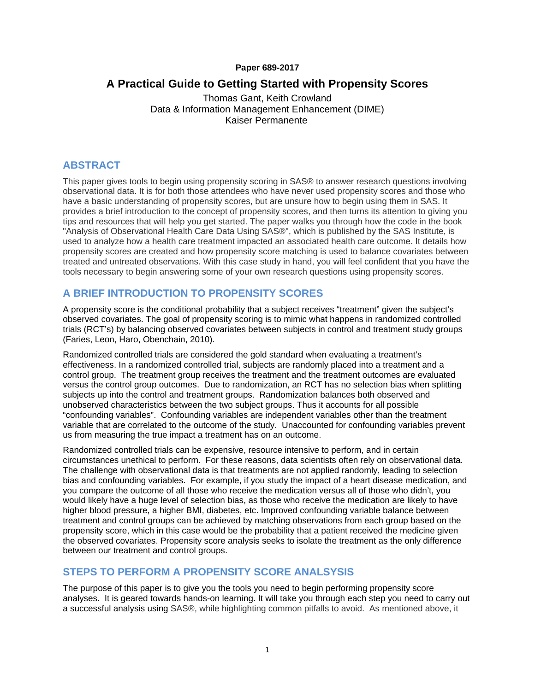#### **Paper 689-2017**

# **A Practical Guide to Getting Started with Propensity Scores**

Thomas Gant, Keith Crowland Data & Information Management Enhancement (DIME) Kaiser Permanente

### **ABSTRACT**

This paper gives tools to begin using propensity scoring in SAS® to answer research questions involving observational data. It is for both those attendees who have never used propensity scores and those who have a basic understanding of propensity scores, but are unsure how to begin using them in SAS. It provides a brief introduction to the concept of propensity scores, and then turns its attention to giving you tips and resources that will help you get started. The paper walks you through how the code in the book "Analysis of Observational Health Care Data Using SAS®", which is published by the SAS Institute, is used to analyze how a health care treatment impacted an associated health care outcome. It details how propensity scores are created and how propensity score matching is used to balance covariates between treated and untreated observations. With this case study in hand, you will feel confident that you have the tools necessary to begin answering some of your own research questions using propensity scores.

### **A BRIEF INTRODUCTION TO PROPENSITY SCORES**

A propensity score is the conditional probability that a subject receives "treatment" given the subject's observed covariates. The goal of propensity scoring is to mimic what happens in randomized controlled trials (RCT's) by balancing observed covariates between subjects in control and treatment study groups (Faries, Leon, Haro, Obenchain, 2010).

Randomized controlled trials are considered the gold standard when evaluating a treatment's effectiveness. In a randomized controlled trial, subjects are randomly placed into a treatment and a control group. The treatment group receives the treatment and the treatment outcomes are evaluated versus the control group outcomes. Due to randomization, an RCT has no selection bias when splitting subjects up into the control and treatment groups. Randomization balances both observed and unobserved characteristics between the two subject groups. Thus it accounts for all possible "confounding variables". Confounding variables are independent variables other than the treatment variable that are correlated to the outcome of the study. Unaccounted for confounding variables prevent us from measuring the true impact a treatment has on an outcome.

Randomized controlled trials can be expensive, resource intensive to perform, and in certain circumstances unethical to perform. For these reasons, data scientists often rely on observational data. The challenge with observational data is that treatments are not applied randomly, leading to selection bias and confounding variables. For example, if you study the impact of a heart disease medication, and you compare the outcome of all those who receive the medication versus all of those who didn't, you would likely have a huge level of selection bias, as those who receive the medication are likely to have higher blood pressure, a higher BMI, diabetes, etc. Improved confounding variable balance between treatment and control groups can be achieved by matching observations from each group based on the propensity score, which in this case would be the probability that a patient received the medicine given the observed covariates. Propensity score analysis seeks to isolate the treatment as the only difference between our treatment and control groups.

### **STEPS TO PERFORM A PROPENSITY SCORE ANALSYSIS**

The purpose of this paper is to give you the tools you need to begin performing propensity score analyses. It is geared towards hands-on learning. It will take you through each step you need to carry out a successful analysis using SAS®, while highlighting common pitfalls to avoid. As mentioned above, it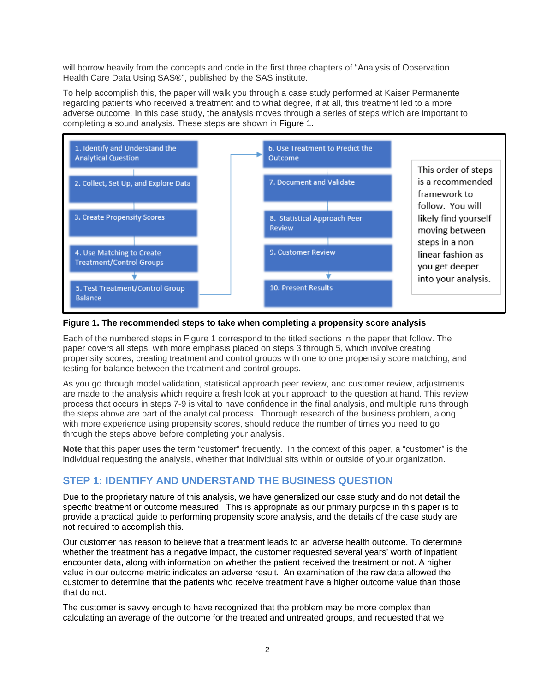will borrow heavily from the concepts and code in the first three chapters of "Analysis of Observation Health Care Data Using SAS®", published by the SAS institute.

To help accomplish this, the paper will walk you through a case study performed at Kaiser Permanente regarding patients who received a treatment and to what degree, if at all, this treatment led to a more adverse outcome. In this case study, the analysis moves through a series of steps which are important to completing a sound analysis. These steps are shown in Figure 1.



#### **Figure 1. The recommended steps to take when completing a propensity score analysis**

Each of the numbered steps in Figure 1 correspond to the titled sections in the paper that follow. The paper covers all steps, with more emphasis placed on steps 3 through 5, which involve creating propensity scores, creating treatment and control groups with one to one propensity score matching, and testing for balance between the treatment and control groups.

As you go through model validation, statistical approach peer review, and customer review, adjustments are made to the analysis which require a fresh look at your approach to the question at hand. This review process that occurs in steps 7-9 is vital to have confidence in the final analysis, and multiple runs through the steps above are part of the analytical process. Thorough research of the business problem, along with more experience using propensity scores, should reduce the number of times you need to go through the steps above before completing your analysis.

**Note** that this paper uses the term "customer" frequently. In the context of this paper, a "customer" is the individual requesting the analysis, whether that individual sits within or outside of your organization.

## **STEP 1: IDENTIFY AND UNDERSTAND THE BUSINESS QUESTION**

Due to the proprietary nature of this analysis, we have generalized our case study and do not detail the specific treatment or outcome measured. This is appropriate as our primary purpose in this paper is to provide a practical guide to performing propensity score analysis, and the details of the case study are not required to accomplish this.

Our customer has reason to believe that a treatment leads to an adverse health outcome. To determine whether the treatment has a negative impact, the customer requested several years' worth of inpatient encounter data, along with information on whether the patient received the treatment or not. A higher value in our outcome metric indicates an adverse result. An examination of the raw data allowed the customer to determine that the patients who receive treatment have a higher outcome value than those that do not.

The customer is savvy enough to have recognized that the problem may be more complex than calculating an average of the outcome for the treated and untreated groups, and requested that we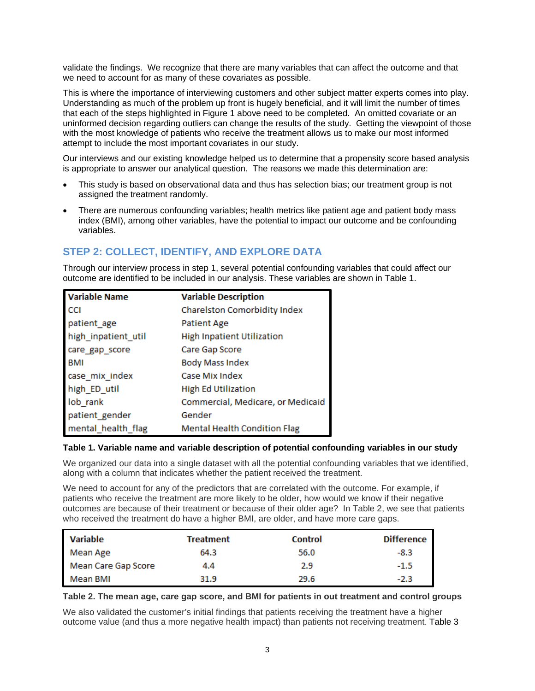validate the findings. We recognize that there are many variables that can affect the outcome and that we need to account for as many of these covariates as possible.

This is where the importance of interviewing customers and other subject matter experts comes into play. Understanding as much of the problem up front is hugely beneficial, and it will limit the number of times that each of the steps highlighted in Figure 1 above need to be completed. An omitted covariate or an uninformed decision regarding outliers can change the results of the study. Getting the viewpoint of those with the most knowledge of patients who receive the treatment allows us to make our most informed attempt to include the most important covariates in our study.

Our interviews and our existing knowledge helped us to determine that a propensity score based analysis is appropriate to answer our analytical question. The reasons we made this determination are:

- This study is based on observational data and thus has selection bias; our treatment group is not assigned the treatment randomly.
- There are numerous confounding variables; health metrics like patient age and patient body mass index (BMI), among other variables, have the potential to impact our outcome and be confounding variables.

# **STEP 2: COLLECT, IDENTIFY, AND EXPLORE DATA**

Through our interview process in step 1, several potential confounding variables that could affect our outcome are identified to be included in our analysis. These variables are shown in Table 1.

| <b>Variable Name</b> | <b>Variable Description</b>         |
|----------------------|-------------------------------------|
| <b>CCI</b>           | Charelston Comorbidity Index        |
| patient_age          | Patient Age                         |
| high_inpatient_util  | <b>High Inpatient Utilization</b>   |
| care_gap_score       | Care Gap Score                      |
| <b>BMI</b>           | <b>Body Mass Index</b>              |
| case mix index       | Case Mix Index                      |
| high_ED_util         | <b>High Ed Utilization</b>          |
| lob rank             | Commercial, Medicare, or Medicaid   |
| patient gender       | Gender                              |
| mental_health_flag   | <b>Mental Health Condition Flag</b> |

#### **Table 1. Variable name and variable description of potential confounding variables in our study**

We organized our data into a single dataset with all the potential confounding variables that we identified. along with a column that indicates whether the patient received the treatment.

We need to account for any of the predictors that are correlated with the outcome. For example, if patients who receive the treatment are more likely to be older, how would we know if their negative outcomes are because of their treatment or because of their older age? In Table 2, we see that patients who received the treatment do have a higher BMI, are older, and have more care gaps.

| <b>Variable</b>     | <b>Treatment</b> | <b>Control</b> | <b>Difference</b> |
|---------------------|------------------|----------------|-------------------|
| Mean Age            | 64.3             | 56.0           | $-8.3$            |
| Mean Care Gap Score | 4.4              | 2.9            | $-1.5$            |
| Mean BMI            | 31.9             | 29.6           | $-2.3$            |

#### **Table 2. The mean age, care gap score, and BMI for patients in out treatment and control groups**

We also validated the customer's initial findings that patients receiving the treatment have a higher outcome value (and thus a more negative health impact) than patients not receiving treatment. Table 3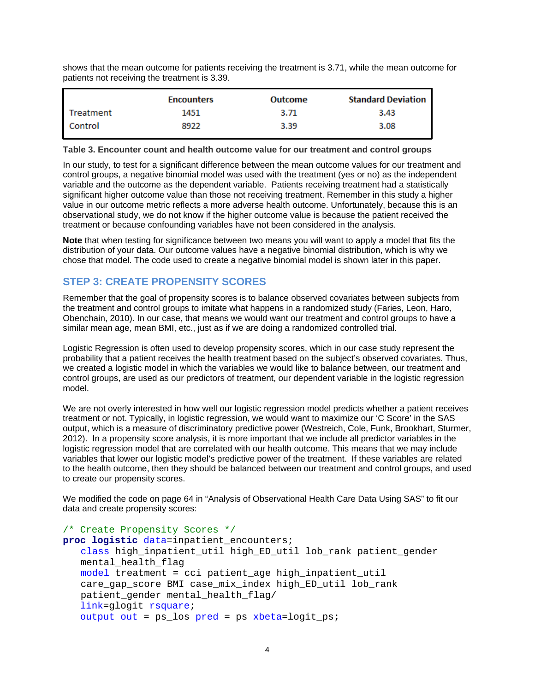shows that the mean outcome for patients receiving the treatment is 3.71, while the mean outcome for patients not receiving the treatment is 3.39.

|           | Encounters | Outcome | <b>Standard Deviation</b> |
|-----------|------------|---------|---------------------------|
| Treatment | 1451       | 3.71    | 3.43                      |
| Control   | 8922       | 3.39    | 3.08                      |

**Table 3. Encounter count and health outcome value for our treatment and control groups**

In our study, to test for a significant difference between the mean outcome values for our treatment and control groups, a negative binomial model was used with the treatment (yes or no) as the independent variable and the outcome as the dependent variable. Patients receiving treatment had a statistically significant higher outcome value than those not receiving treatment. Remember in this study a higher value in our outcome metric reflects a more adverse health outcome. Unfortunately, because this is an observational study, we do not know if the higher outcome value is because the patient received the treatment or because confounding variables have not been considered in the analysis.

**Note** that when testing for significance between two means you will want to apply a model that fits the distribution of your data. Our outcome values have a negative binomial distribution, which is why we chose that model. The code used to create a negative binomial model is shown later in this paper.

### **STEP 3: CREATE PROPENSITY SCORES**

Remember that the goal of propensity scores is to balance observed covariates between subjects from the treatment and control groups to imitate what happens in a randomized study (Faries, Leon, Haro, Obenchain, 2010). In our case, that means we would want our treatment and control groups to have a similar mean age, mean BMI, etc., just as if we are doing a randomized controlled trial.

Logistic Regression is often used to develop propensity scores, which in our case study represent the probability that a patient receives the health treatment based on the subject's observed covariates. Thus, we created a logistic model in which the variables we would like to balance between, our treatment and control groups, are used as our predictors of treatment, our dependent variable in the logistic regression model.

We are not overly interested in how well our logistic regression model predicts whether a patient receives treatment or not. Typically, in logistic regression, we would want to maximize our 'C Score' in the SAS output, which is a measure of discriminatory predictive power [\(Westreich,](https://www.ncbi.nlm.nih.gov/pubmed/?term=Westreich%20D%5BAuthor%5D&cauthor=true&cauthor_uid=21351315) [Cole,](https://www.ncbi.nlm.nih.gov/pubmed/?term=Cole%20SR%5BAuthor%5D&cauthor=true&cauthor_uid=21351315) [Funk,](https://www.ncbi.nlm.nih.gov/pubmed/?term=Funk%20MJ%5BAuthor%5D&cauthor=true&cauthor_uid=21351315) [Brookhart,](https://www.ncbi.nlm.nih.gov/pubmed/?term=Brookhart%20MA%5BAuthor%5D&cauthor=true&cauthor_uid=21351315) Sturmer, 2012). In a propensity score analysis, it is more important that we include all predictor variables in the logistic regression model that are correlated with our health outcome. This means that we may include variables that lower our logistic model's predictive power of the treatment. If these variables are related to the health outcome, then they should be balanced between our treatment and control groups, and used to create our propensity scores.

We modified the code on page 64 in "Analysis of Observational Health Care Data Using SAS" to fit our data and create propensity scores:

```
/* Create Propensity Scores */
proc logistic data=inpatient_encounters;
   class high_inpatient_util high_ED_util lob_rank patient_gender 
   mental health flag
   model treatment = cci patient_age high_inpatient_util 
   care_gap_score BMI case_mix_index high_ED_util lob_rank 
   patient_gender mental_health_flag/
    link=glogit rsquare;
   output out = ps los pred = ps xbeta=logit ps;
```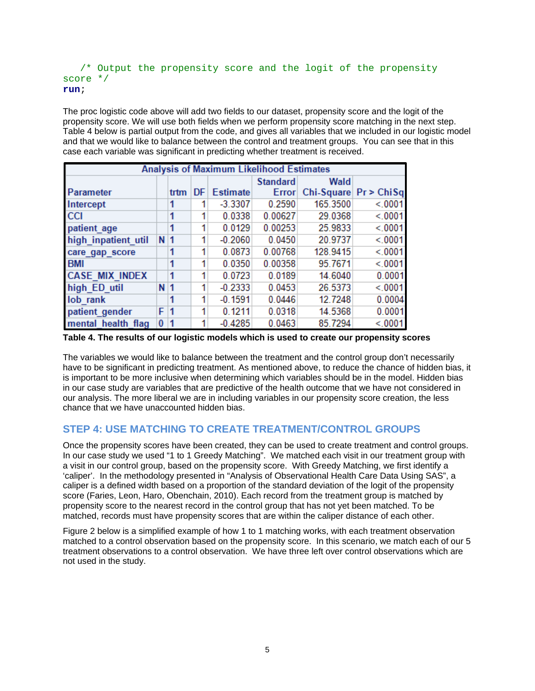#### /\* Output the propensity score and the logit of the propensity score \*/ **run**;

The proc logistic code above will add two fields to our dataset, propensity score and the logit of the propensity score. We will use both fields when we perform propensity score matching in the next step. Table 4 below is partial output from the code, and gives all variables that we included in our logistic model and that we would like to balance between the control and treatment groups. You can see that in this case each variable was significant in predicting whether treatment is received.

| Analysis of Maximum Likelihood Estimates |                |      |    |                 |                 |          |                         |  |
|------------------------------------------|----------------|------|----|-----------------|-----------------|----------|-------------------------|--|
|                                          |                |      |    |                 | <b>Standard</b> | Wald     |                         |  |
| Parameter                                |                | trtm | DF | <b>Estimate</b> | <b>Error</b>    |          | Chi-Square $Pr$ > ChiSq |  |
| Intercept                                |                | 1    |    | $-3.3307$       | 0.2590          | 165.3500 | < 0001                  |  |
| <b>CCI</b>                               |                | 1    |    | 0.0338          | 0.00627         | 29.0368  | < 0001                  |  |
| patient age                              |                |      |    | 0.0129          | 0.00253         | 25.9833  | < 0001                  |  |
| high inpatient util                      | N <sub>1</sub> |      | 1  | $-0.2060$       | 0.0450          | 20.9737  | < 0001                  |  |
| care_gap_score                           |                |      |    | 0.0873          | 0.00768         | 128.9415 | < 0001                  |  |
| <b>BMI</b>                               |                | 1    |    | 0.0350          | 0.00358         | 95.7671  | < 0001                  |  |
| <b>CASE MIX INDEX</b>                    |                | 1    | 1  | 0.0723          | 0.0189          | 14.6040  | 0.0001                  |  |
| high ED util                             | N <sub>1</sub> |      | 1  | $-0.2333$       | 0.0453          | 26.5373  | < 0001                  |  |
| lob rank                                 |                |      | 1  | $-0.1591$       | 0.0446          | 12.7248  | 0.0004                  |  |
| patient gender                           | F              | 1    | 1  | 0.1211          | 0.0318          | 14.5368  | 0.0001                  |  |
| mental health flag                       | 0              |      |    | $-0.4285$       | 0.0463          | 85.7294  | < 0001                  |  |

**Table 4. The results of our logistic models which is used to create our propensity scores**

The variables we would like to balance between the treatment and the control group don't necessarily have to be significant in predicting treatment. As mentioned above, to reduce the chance of hidden bias, it is important to be more inclusive when determining which variables should be in the model. Hidden bias in our case study are variables that are predictive of the health outcome that we have not considered in our analysis. The more liberal we are in including variables in our propensity score creation, the less chance that we have unaccounted hidden bias.

## **STEP 4: USE MATCHING TO CREATE TREATMENT/CONTROL GROUPS**

Once the propensity scores have been created, they can be used to create treatment and control groups. In our case study we used "1 to 1 Greedy Matching". We matched each visit in our treatment group with a visit in our control group, based on the propensity score. With Greedy Matching, we first identify a 'caliper'. In the methodology presented in "Analysis of Observational Health Care Data Using SAS", a caliper is a defined width based on a proportion of the standard deviation of the logit of the propensity score (Faries, Leon, Haro, Obenchain, 2010). Each record from the treatment group is matched by propensity score to the nearest record in the control group that has not yet been matched. To be matched, records must have propensity scores that are within the caliper distance of each other.

Figure 2 below is a simplified example of how 1 to 1 matching works, with each treatment observation matched to a control observation based on the propensity score. In this scenario, we match each of our 5 treatment observations to a control observation. We have three left over control observations which are not used in the study.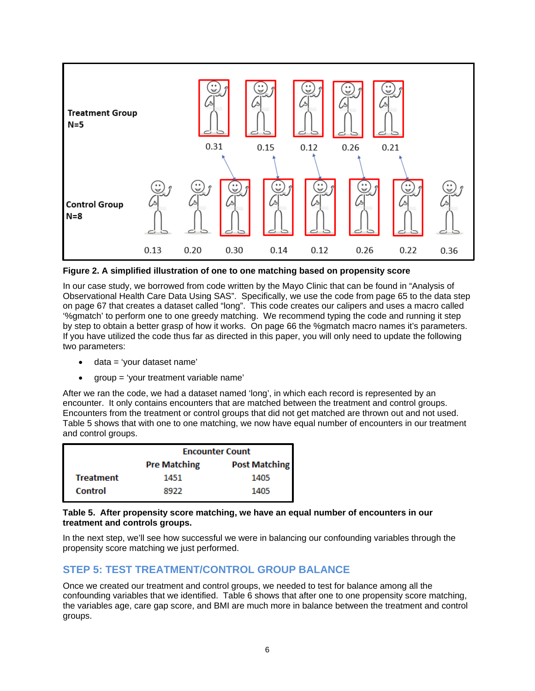

**Figure 2. A simplified illustration of one to one matching based on propensity score**

In our case study, we borrowed from code written by the Mayo Clinic that can be found in "Analysis of Observational Health Care Data Using SAS". Specifically, we use the code from page 65 to the data step on page 67 that creates a dataset called "long". This code creates our calipers and uses a macro called '%gmatch' to perform one to one greedy matching. We recommend typing the code and running it step by step to obtain a better grasp of how it works. On page 66 the %gmatch macro names it's parameters. If you have utilized the code thus far as directed in this paper, you will only need to update the following two parameters:

- data = 'your dataset name'
- group = 'your treatment variable name'

After we ran the code, we had a dataset named 'long', in which each record is represented by an encounter. It only contains encounters that are matched between the treatment and control groups. Encounters from the treatment or control groups that did not get matched are thrown out and not used. Table 5 shows that with one to one matching, we now have equal number of encounters in our treatment and control groups.

|                  | <b>Encounter Count</b>                      |      |  |  |  |  |  |
|------------------|---------------------------------------------|------|--|--|--|--|--|
|                  | <b>Post Matching</b><br><b>Pre Matching</b> |      |  |  |  |  |  |
| <b>Treatment</b> | 1451                                        | 1405 |  |  |  |  |  |
| Control          | 8922                                        | 1405 |  |  |  |  |  |

#### **Table 5. After propensity score matching, we have an equal number of encounters in our treatment and controls groups.**

In the next step, we'll see how successful we were in balancing our confounding variables through the propensity score matching we just performed.

### **STEP 5: TEST TREATMENT/CONTROL GROUP BALANCE**

Once we created our treatment and control groups, we needed to test for balance among all the confounding variables that we identified. Table 6 shows that after one to one propensity score matching, the variables age, care gap score, and BMI are much more in balance between the treatment and control groups.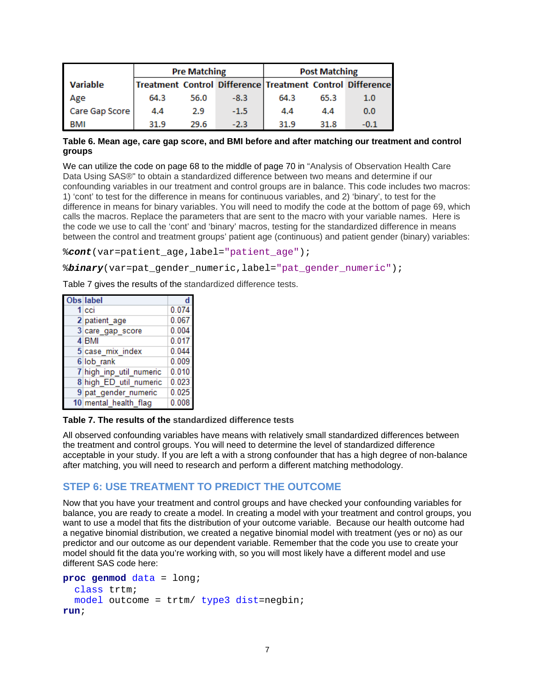|                 |      | <b>Pre Matching</b> |        |      | <b>Post Matching</b> |                                                           |
|-----------------|------|---------------------|--------|------|----------------------|-----------------------------------------------------------|
| <b>Variable</b> |      |                     |        |      |                      | Treatment Control Difference Treatment Control Difference |
| Age             | 64.3 | 56.0                | $-8.3$ | 64.3 | 65.3                 | 1.0                                                       |
| Care Gap Score  | 4.4  | 2.9                 | $-1.5$ | 4.4  | 4.4                  | 0.0                                                       |
| BMI             | 31.9 | 29.6                | $-2.3$ | 31.9 | 31.8                 | $-0.1$                                                    |

#### **Table 6. Mean age, care gap score, and BMI before and after matching our treatment and control groups**

We can utilize the code on page 68 to the middle of page 70 in "Analysis of Observation Health Care Data Using SAS®" to obtain a standardized difference between two means and determine if our confounding variables in our treatment and control groups are in balance. This code includes two macros: 1) 'cont' to test for the difference in means for continuous variables, and 2) 'binary', to test for the difference in means for binary variables. You will need to modify the code at the bottom of page 69, which calls the macros. Replace the parameters that are sent to the macro with your variable names. Here is the code we use to call the 'cont' and 'binary' macros, testing for the standardized difference in means between the control and treatment groups' patient age (continuous) and patient gender (binary) variables:

%*cont*(var=patient\_age,label="patient\_age");

%*binary*(var=pat\_gender\_numeric,label="pat\_gender\_numeric");

Table 7 gives the results of the standardized difference tests.

| Obs label               |       |
|-------------------------|-------|
| 1 cci                   | 0.074 |
| 2 patient age           | 0.067 |
| 3 care_gap_score        | 0.004 |
| 4 BMI                   | 0.017 |
| 5 case mix index        | 0.044 |
| 6 lob rank              | 0.009 |
| 7 high inp util numeric | 0.010 |
| 8 high ED util numeric  | 0.023 |
| 9 pat gender numeric    | 0.025 |
| 10 mental health flag   | 0.008 |

#### **Table 7. The results of the standardized difference tests**

All observed confounding variables have means with relatively small standardized differences between the treatment and control groups. You will need to determine the level of standardized difference acceptable in your study. If you are left a with a strong confounder that has a high degree of non-balance after matching, you will need to research and perform a different matching methodology.

#### **STEP 6: USE TREATMENT TO PREDICT THE OUTCOME**

Now that you have your treatment and control groups and have checked your confounding variables for balance, you are ready to create a model. In creating a model with your treatment and control groups, you want to use a model that fits the distribution of your outcome variable. Because our health outcome had a negative binomial distribution, we created a negative binomial model with treatment (yes or no) as our predictor and our outcome as our dependent variable. Remember that the code you use to create your model should fit the data you're working with, so you will most likely have a different model and use different SAS code here:

```
proc genmod data = long;
   class trtm;
   model outcome = trtm/ type3 dist=negbin;
run;
```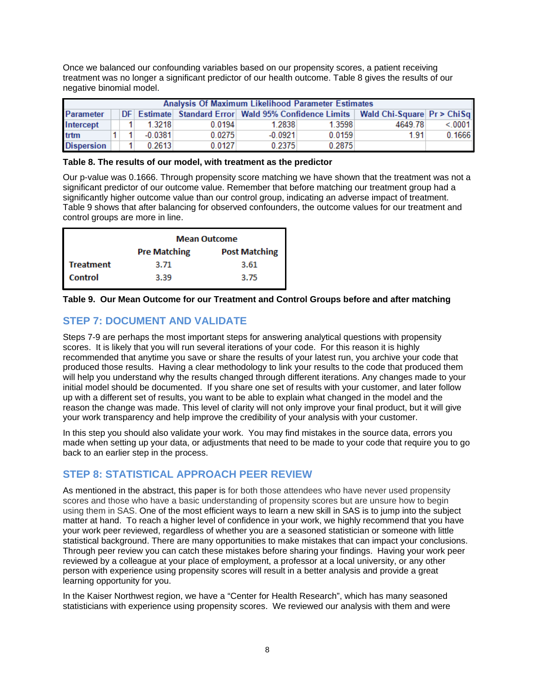Once we balanced our confounding variables based on our propensity scores, a patient receiving treatment was no longer a significant predictor of our health outcome. Table 8 gives the results of our negative binomial model.

| Analysis Of Maximum Likelihood Parameter Estimates |  |                      |           |        |           |        |                                                                                  |        |
|----------------------------------------------------|--|----------------------|-----------|--------|-----------|--------|----------------------------------------------------------------------------------|--------|
| <b>Parameter</b>                                   |  |                      |           |        |           |        | DF Estimate Standard Error Wald 95% Confidence Limits Wald Chi-Square Pr > ChiSq |        |
| Intercept                                          |  |                      | 1.3218    | 0.0194 | 1.2838    | 1.3598 | 4649.78                                                                          | < 0001 |
| trtm                                               |  |                      | $-0.0381$ | 0.0275 | $-0.0921$ | 0.0159 | 1.91                                                                             | 0.1666 |
| <b>Dispersion</b>                                  |  | $\blacktriangleleft$ | 0.2613    | 0.0127 | 0.2375    | 0.2875 |                                                                                  |        |

#### **Table 8. The results of our model, with treatment as the predictor**

Our p-value was 0.1666. Through propensity score matching we have shown that the treatment was not a significant predictor of our outcome value. Remember that before matching our treatment group had a significantly higher outcome value than our control group, indicating an adverse impact of treatment. Table 9 shows that after balancing for observed confounders, the outcome values for our treatment and control groups are more in line.

|                  | <b>Mean Outcome</b>                         |      |  |  |  |  |  |
|------------------|---------------------------------------------|------|--|--|--|--|--|
|                  | <b>Post Matching</b><br><b>Pre Matching</b> |      |  |  |  |  |  |
| <b>Treatment</b> | 3.71                                        | 3.61 |  |  |  |  |  |
| <b>Control</b>   | 3.39                                        | 3.75 |  |  |  |  |  |

#### **Table 9. Our Mean Outcome for our Treatment and Control Groups before and after matching**

# **STEP 7: DOCUMENT AND VALIDATE**

Steps 7-9 are perhaps the most important steps for answering analytical questions with propensity scores. It is likely that you will run several iterations of your code. For this reason it is highly recommended that anytime you save or share the results of your latest run, you archive your code that produced those results. Having a clear methodology to link your results to the code that produced them will help you understand why the results changed through different iterations. Any changes made to your initial model should be documented. If you share one set of results with your customer, and later follow up with a different set of results, you want to be able to explain what changed in the model and the reason the change was made. This level of clarity will not only improve your final product, but it will give your work transparency and help improve the credibility of your analysis with your customer.

In this step you should also validate your work. You may find mistakes in the source data, errors you made when setting up your data, or adjustments that need to be made to your code that require you to go back to an earlier step in the process.

## **STEP 8: STATISTICAL APPROACH PEER REVIEW**

As mentioned in the abstract, this paper is for both those attendees who have never used propensity scores and those who have a basic understanding of propensity scores but are unsure how to begin using them in SAS. One of the most efficient ways to learn a new skill in SAS is to jump into the subject matter at hand. To reach a higher level of confidence in your work, we highly recommend that you have your work peer reviewed, regardless of whether you are a seasoned statistician or someone with little statistical background. There are many opportunities to make mistakes that can impact your conclusions. Through peer review you can catch these mistakes before sharing your findings. Having your work peer reviewed by a colleague at your place of employment, a professor at a local university, or any other person with experience using propensity scores will result in a better analysis and provide a great learning opportunity for you.

In the Kaiser Northwest region, we have a "Center for Health Research", which has many seasoned statisticians with experience using propensity scores. We reviewed our analysis with them and were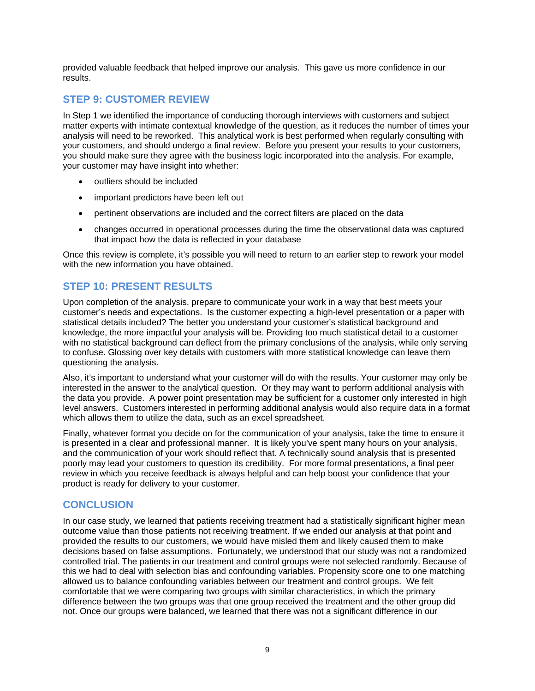provided valuable feedback that helped improve our analysis. This gave us more confidence in our results.

## **STEP 9: CUSTOMER REVIEW**

In Step 1 we identified the importance of conducting thorough interviews with customers and subject matter experts with intimate contextual knowledge of the question, as it reduces the number of times your analysis will need to be reworked. This analytical work is best performed when regularly consulting with your customers, and should undergo a final review. Before you present your results to your customers, you should make sure they agree with the business logic incorporated into the analysis. For example, your customer may have insight into whether:

- outliers should be included
- important predictors have been left out
- pertinent observations are included and the correct filters are placed on the data
- changes occurred in operational processes during the time the observational data was captured that impact how the data is reflected in your database

Once this review is complete, it's possible you will need to return to an earlier step to rework your model with the new information you have obtained.

## **STEP 10: PRESENT RESULTS**

Upon completion of the analysis, prepare to communicate your work in a way that best meets your customer's needs and expectations. Is the customer expecting a high-level presentation or a paper with statistical details included? The better you understand your customer's statistical background and knowledge, the more impactful your analysis will be. Providing too much statistical detail to a customer with no statistical background can deflect from the primary conclusions of the analysis, while only serving to confuse. Glossing over key details with customers with more statistical knowledge can leave them questioning the analysis.

Also, it's important to understand what your customer will do with the results. Your customer may only be interested in the answer to the analytical question. Or they may want to perform additional analysis with the data you provide. A power point presentation may be sufficient for a customer only interested in high level answers. Customers interested in performing additional analysis would also require data in a format which allows them to utilize the data, such as an excel spreadsheet.

Finally, whatever format you decide on for the communication of your analysis, take the time to ensure it is presented in a clear and professional manner. It is likely you've spent many hours on your analysis, and the communication of your work should reflect that. A technically sound analysis that is presented poorly may lead your customers to question its credibility. For more formal presentations, a final peer review in which you receive feedback is always helpful and can help boost your confidence that your product is ready for delivery to your customer.

### **CONCLUSION**

In our case study, we learned that patients receiving treatment had a statistically significant higher mean outcome value than those patients not receiving treatment. If we ended our analysis at that point and provided the results to our customers, we would have misled them and likely caused them to make decisions based on false assumptions. Fortunately, we understood that our study was not a randomized controlled trial. The patients in our treatment and control groups were not selected randomly. Because of this we had to deal with selection bias and confounding variables. Propensity score one to one matching allowed us to balance confounding variables between our treatment and control groups. We felt comfortable that we were comparing two groups with similar characteristics, in which the primary difference between the two groups was that one group received the treatment and the other group did not. Once our groups were balanced, we learned that there was not a significant difference in our